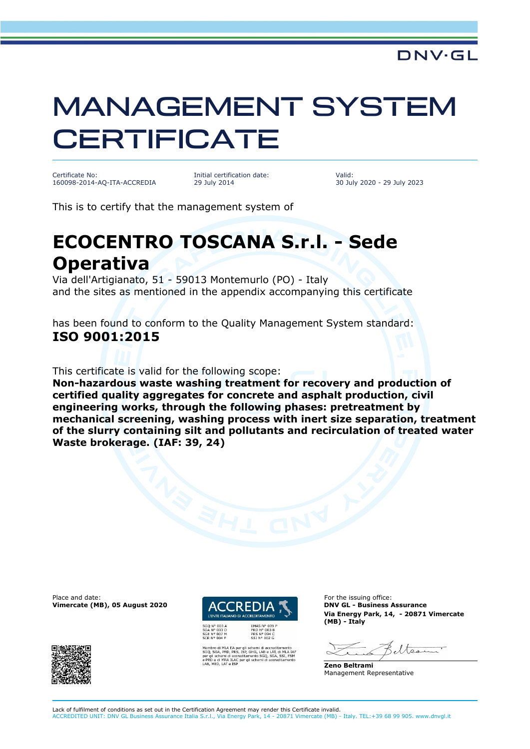## MANAGEMENT SYSTEM **CERTIFICATE**

Certificate No: 160098-2014-AQ-ITA-ACCREDIA Initial certification date: 29 July 2014

Valid: 30 July 2020 - 29 July 2023

This is to certify that the management system of

## **ECOCENTRO TOSCANA S.r.l. - Sede Operativa**

Via dell'Artigianato, 51 - 59013 Montemurlo (PO) - Italy and the sites as mentioned in the appendix accompanying this certificate

has been found to conform to the Quality Management System standard: **ISO 9001:2015**

This certificate is valid for the following scope:

**Non-hazardous waste washing treatment for recovery and production of certified quality aggregates for concrete and asphalt production, civil engineering works, through the following phases: pretreatment by mechanical screening, washing process with inert size separation, treatment of the slurry containing silt and pollutants and recirculation of treated water Waste brokerage. (IAF: 39, 24)**

Place and date: **For the issuing office:** For the issuing office: **Vimercate (MB), 05 August 2020 DACCREDIA CONVIGL - Business Assurance** 





er gli schemi di accreditamento<br>, ISP, GHG, LAB e LAT, di MLA IA<br>reditamento SGQ, SGA, SSI, FSM<br>per gli schemi di accreditamento

**Via Energy Park, 14, - 20871 Vimercate (MB) - Italy**

eltsee

**Zeno Beltrami** Management Representative